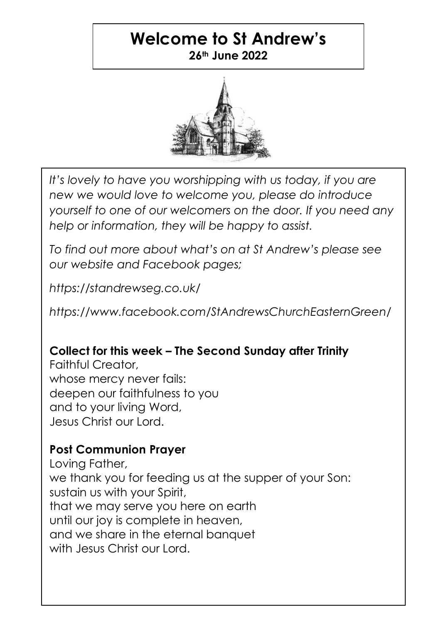## **Welcome to St Andrew's 26th June 2022**



*It's lovely to have you worshipping with us today, if you are new we would love to welcome you, please do introduce yourself to one of our welcomers on the door. If you need any help or information, they will be happy to assist.*

*To find out more about what's on at St Andrew's please see our website and Facebook pages;*

*https://standrewseg.co.uk/*

*https://www.facebook.com/StAndrewsChurchEasternGreen/*

# **Collect for this week – The Second Sunday after Trinity**

Faithful Creator, whose mercy never fails: deepen our faithfulness to you and to your living Word, Jesus Christ our Lord.

### **Post Communion Prayer**

Loving Father, we thank you for feeding us at the supper of your Son: sustain us with your Spirit, that we may serve you here on earth until our joy is complete in heaven, and we share in the eternal banquet with Jesus Christ our Lord.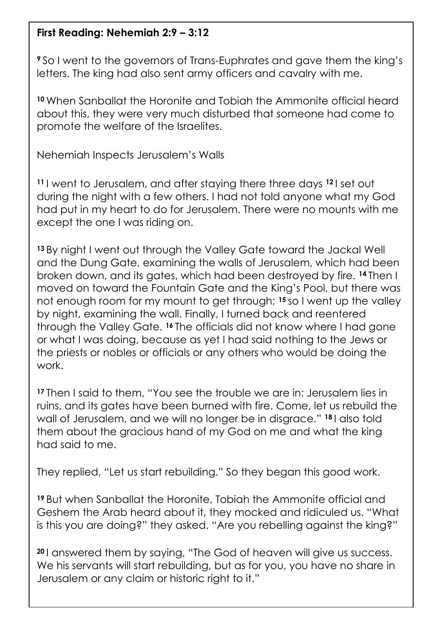#### **First Reading: Nehemiah 2:9 – 3:12**

**<sup>9</sup>** So I went to the governors of Trans-Euphrates and gave them the king's letters. The king had also sent army officers and cavalry with me.

**<sup>10</sup>** When Sanballat the Horonite and Tobiah the Ammonite official heard about this, they were very much disturbed that someone had come to promote the welfare of the Israelites.

Nehemiah Inspects Jerusalem's Walls

**<sup>11</sup>** I went to Jerusalem, and after staying there three days **<sup>12</sup>** I set out during the night with a few others. I had not told anyone what my God had put in my heart to do for Jerusalem. There were no mounts with me except the one I was riding on.

**<sup>13</sup>** By night I went out through the Valley Gate toward the Jackal Well and the Dung Gate, examining the walls of Jerusalem, which had been broken down, and its gates, which had been destroyed by fire. **<sup>14</sup>** Then I moved on toward the Fountain Gate and the King's Pool, but there was not enough room for my mount to get through; **<sup>15</sup>** so I went up the valley by night, examining the wall. Finally, I turned back and reentered through the Valley Gate. **<sup>16</sup>** The officials did not know where I had gone or what I was doing, because as yet I had said nothing to the Jews or the priests or nobles or officials or any others who would be doing the work.

**<sup>17</sup>** Then I said to them, "You see the trouble we are in: Jerusalem lies in ruins, and its gates have been burned with fire. Come, let us rebuild the wall of Jerusalem, and we will no longer be in disgrace." **<sup>18</sup>** I also told them about the gracious hand of my God on me and what the king had said to me.

They replied, "Let us start rebuilding." So they began this good work.

**<sup>19</sup>** But when Sanballat the Horonite, Tobiah the Ammonite official and Geshem the Arab heard about it, they mocked and ridiculed us. "What is this you are doing?" they asked. "Are you rebelling against the king?"

**<sup>20</sup>** I answered them by saying, "The God of heaven will give us success. We his servants will start rebuilding, but as for you, you have no share in Jerusalem or any claim or historic right to it."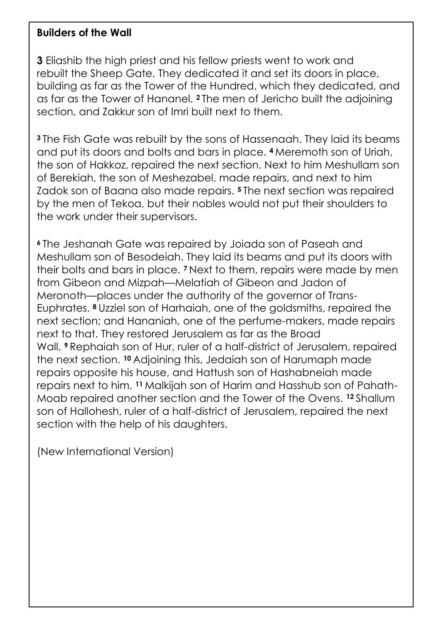#### **Builders of the Wall**

**3** Eliashib the high priest and his fellow priests went to work and rebuilt the Sheep Gate. They dedicated it and set its doors in place, building as far as the Tower of the Hundred, which they dedicated, and as far as the Tower of Hananel. **<sup>2</sup>** The men of Jericho built the adjoining section, and Zakkur son of Imri built next to them.

**<sup>3</sup>** The Fish Gate was rebuilt by the sons of Hassenaah. They laid its beams and put its doors and bolts and bars in place. **<sup>4</sup>** Meremoth son of Uriah, the son of Hakkoz, repaired the next section. Next to him Meshullam son of Berekiah, the son of Meshezabel, made repairs, and next to him Zadok son of Baana also made repairs. **<sup>5</sup>** The next section was repaired by the men of Tekoa, but their nobles would not put their shoulders to the work under their supervisors.

**<sup>6</sup>** The Jeshanah Gate was repaired by Joiada son of Paseah and Meshullam son of Besodeiah. They laid its beams and put its doors with their bolts and bars in place. **<sup>7</sup>** Next to them, repairs were made by men from Gibeon and Mizpah—Melatiah of Gibeon and Jadon of Meronoth—places under the authority of the governor of Trans-Euphrates. **<sup>8</sup>** Uzziel son of Harhaiah, one of the goldsmiths, repaired the next section; and Hananiah, one of the perfume-makers, made repairs next to that. They restored Jerusalem as far as the Broad Wall. **<sup>9</sup>** Rephaiah son of Hur, ruler of a half-district of Jerusalem, repaired the next section. **<sup>10</sup>** Adjoining this, Jedaiah son of Harumaph made repairs opposite his house, and Hattush son of Hashabneiah made repairs next to him. **<sup>11</sup>** Malkijah son of Harim and Hasshub son of Pahath-Moab repaired another section and the Tower of the Ovens. **<sup>12</sup>** Shallum son of Hallohesh, ruler of a half-district of Jerusalem, repaired the next section with the help of his daughters.

(New International Version)